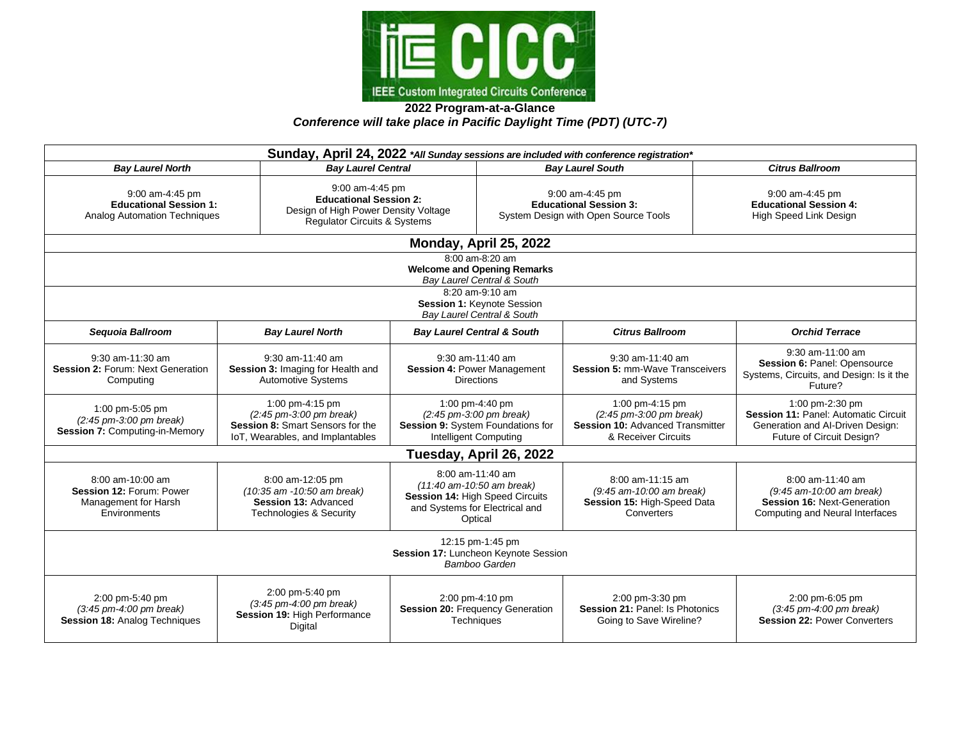

**2022 Program-at-a-Glance** *Conference will take place in Pacific Daylight Time (PDT) (UTC-7)*

| Sunday, April 24, 2022 *All Sunday sessions are included with conference registration*           |                                                                                                                                      |                                                                                                                                     |  |                                                                                                                                  |  |                                                                                                                                 |  |  |  |
|--------------------------------------------------------------------------------------------------|--------------------------------------------------------------------------------------------------------------------------------------|-------------------------------------------------------------------------------------------------------------------------------------|--|----------------------------------------------------------------------------------------------------------------------------------|--|---------------------------------------------------------------------------------------------------------------------------------|--|--|--|
| <b>Bay Laurel North</b>                                                                          |                                                                                                                                      | <b>Bay Laurel Central</b>                                                                                                           |  | <b>Bay Laurel South</b>                                                                                                          |  | <b>Citrus Ballroom</b>                                                                                                          |  |  |  |
| 9:00 am-4:45 pm<br><b>Educational Session 1:</b><br>Analog Automation Techniques                 |                                                                                                                                      | 9:00 am-4:45 pm<br><b>Educational Session 2:</b><br>Design of High Power Density Voltage<br>Regulator Circuits & Systems            |  | 9:00 am-4:45 pm<br><b>Educational Session 3:</b><br>System Design with Open Source Tools                                         |  | $9:00$ am-4:45 pm<br><b>Educational Session 4:</b><br>High Speed Link Design                                                    |  |  |  |
| Monday, April 25, 2022                                                                           |                                                                                                                                      |                                                                                                                                     |  |                                                                                                                                  |  |                                                                                                                                 |  |  |  |
| 8:00 am-8:20 am<br><b>Welcome and Opening Remarks</b><br>Bay Laurel Central & South              |                                                                                                                                      |                                                                                                                                     |  |                                                                                                                                  |  |                                                                                                                                 |  |  |  |
| 8:20 am-9:10 am<br>Session 1: Keynote Session<br>Bay Laurel Central & South                      |                                                                                                                                      |                                                                                                                                     |  |                                                                                                                                  |  |                                                                                                                                 |  |  |  |
| Sequoia Ballroom                                                                                 | <b>Bay Laurel North</b>                                                                                                              | <b>Bay Laurel Central &amp; South</b>                                                                                               |  | <b>Citrus Ballroom</b>                                                                                                           |  | <b>Orchid Terrace</b>                                                                                                           |  |  |  |
| 9:30 am-11:30 am<br>Session 2: Forum: Next Generation<br>Computing                               | 9:30 am-11:40 am<br>Session 3: Imaging for Health and<br><b>Automotive Systems</b>                                                   | 9:30 am-11:40 am<br><b>Session 4: Power Management</b><br><b>Directions</b>                                                         |  | 9:30 am-11:40 am<br><b>Session 5: mm-Wave Transceivers</b><br>and Systems                                                        |  | 9:30 am-11:00 am<br>Session 6: Panel: Opensource<br>Systems, Circuits, and Design: Is it the<br>Future?                         |  |  |  |
| 1:00 pm-5:05 pm<br>$(2.45 \text{ pm} - 3.00 \text{ pm}$ break)<br>Session 7: Computing-in-Memory | 1:00 pm-4:15 pm<br>$(2:45 \text{ pm}-3:00 \text{ pm}$ break)<br>Session 8: Smart Sensors for the<br>IoT, Wearables, and Implantables | 1:00 pm-4:40 pm<br>$(2:45 \text{ pm} - 3:00 \text{ pm}$ break)<br>Session 9: System Foundations for<br><b>Intelligent Computing</b> |  | 1:00 pm-4:15 pm<br>$(2.45 \text{ pm} - 3.00 \text{ pm}$ break)<br><b>Session 10: Advanced Transmitter</b><br>& Receiver Circuits |  | 1:00 pm-2:30 pm<br><b>Session 11: Panel: Automatic Circuit</b><br>Generation and Al-Driven Design:<br>Future of Circuit Design? |  |  |  |
| Tuesday, April 26, 2022                                                                          |                                                                                                                                      |                                                                                                                                     |  |                                                                                                                                  |  |                                                                                                                                 |  |  |  |
| 8:00 am-10:00 am<br>Session 12: Forum: Power<br>Management for Harsh<br>Environments             | 8:00 am-12:05 pm<br>(10:35 am -10:50 am break)<br>Session 13: Advanced<br><b>Technologies &amp; Security</b>                         | 8:00 am-11:40 am<br>(11:40 am-10:50 am break)<br>Session 14: High Speed Circuits<br>and Systems for Electrical and<br>Optical       |  | 8:00 am-11:15 am<br>(9:45 am-10:00 am break)<br>Session 15: High-Speed Data<br>Converters                                        |  | 8:00 am-11:40 am<br>(9:45 am-10:00 am break)<br><b>Session 16: Next-Generation</b><br>Computing and Neural Interfaces           |  |  |  |
| 12:15 pm-1:45 pm<br>Session 17: Luncheon Keynote Session<br>Bamboo Garden                        |                                                                                                                                      |                                                                                                                                     |  |                                                                                                                                  |  |                                                                                                                                 |  |  |  |
| 2:00 pm-5:40 pm<br>(3:45 pm-4:00 pm break)<br><b>Session 18: Analog Techniques</b>               | 2:00 pm-5:40 pm<br>$(3.45 \text{ pm} - 4.00 \text{ pm}$ break)<br>Session 19: High Performance<br>Digital                            | 2:00 pm-4:10 pm<br>Session 20: Frequency Generation<br>Techniques                                                                   |  | 2:00 pm-3:30 pm<br>Session 21: Panel: Is Photonics<br>Going to Save Wireline?                                                    |  | 2:00 pm-6:05 pm<br>$(3.45 \text{ pm} \cdot 4.00 \text{ pm} \text{ break})$<br><b>Session 22: Power Converters</b>               |  |  |  |